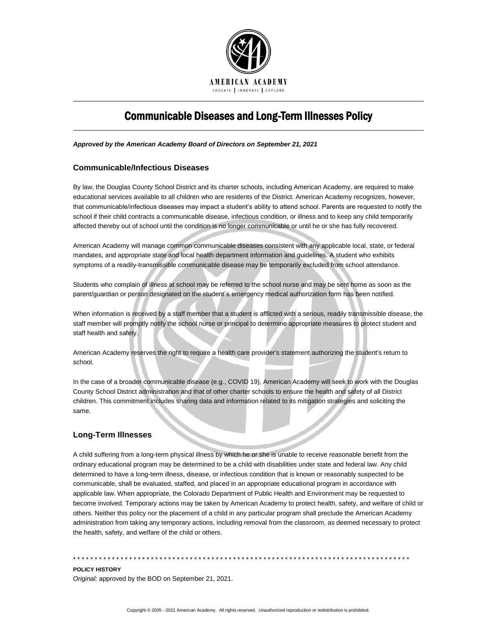

## Communicable Diseases and Long-Term Illnesses Policy

*Approved by the American Academy Board of Directors on September 21, 2021*

## **Communicable/Infectious Diseases**

By law, the Douglas County School District and its charter schools, including American Academy, are required to make educational services available to all children who are residents of the District. American Academy recognizes, however, that communicable/infectious diseases may impact a student's ability to attend school. Parents are requested to notify the school if their child contracts a communicable disease, infectious condition, or illness and to keep any child temporarily affected thereby out of school until the condition is no longer communicable or until he or she has fully recovered.

American Academy will manage common communicable diseases consistent with any applicable local, state, or federal mandates, and appropriate state and local health department information and guidelines. A student who exhibits symptoms of a readily-transmissible communicable disease may be temporarily excluded from school attendance.

Students who complain of illness at school may be referred to the school nurse and may be sent home as soon as the parent/guardian or person designated on the student´s emergency medical authorization form has been notified.

When information is received by a staff member that a student is afflicted with a serious, readily transmissible disease, the staff member will promptly notify the school nurse or principal to determine appropriate measures to protect student and staff health and safety.

American Academy reserves the right to require a health care provider's statement authorizing the student's return to school.

In the case of a broader communicable disease (e.g., COVID 19), American Academy will seek to work with the Douglas County School District administration and that of other charter schools to ensure the health and safety of all District children. This commitment includes sharing data and information related to its mitigation strategies and soliciting the same.

## **Long-Term Illnesses**

A child suffering from a long-term physical illness by which he or she is unable to receive reasonable benefit from the ordinary educational program may be determined to be a child with disabilities under state and federal law. Any child determined to have a long-term illness, disease, or infectious condition that is known or reasonably suspected to be communicable, shall be evaluated, staffed, and placed in an appropriate educational program in accordance with applicable law. When appropriate, the Colorado Department of Public Health and Environment may be requested to become involved. Temporary actions may be taken by American Academy to protect health, safety, and welfare of child or others. Neither this policy nor the placement of a child in any particular program shall preclude the American Academy administration from taking any temporary actions, including removal from the classroom, as deemed necessary to protect the health, safety, and welfare of the child or others.

## **POLICY HISTORY**

*Original:* approved by the BOD on September 21, 2021.

\* \* \* \* \* \* \* \* \* \* \* \* \* \* \* \* \* \* \* \* \* \* \* \* \* \* \* \* \* \* \* \* \* \* \* \* \* \* \* \* \* \* \* \* \* \* \* \* \* \* \* \* \* \* \* \* \* \* \* \* \* \* \* \* \* \* \* \* \* \* \* \* \* \* \* \* \* \*